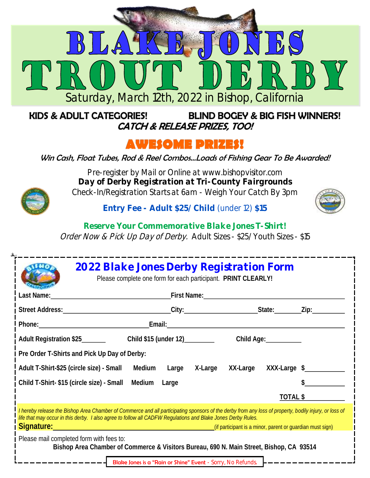

#### **BLIND BOGEY & BIG FISH WINNERS! KIDS & ADULT CATEGORIES! CATCH & RELEASE PRIZES, TOO!**

## **AWESOME PRIZES!**

Win Cash, Float Tubes, Rod & Reel Combos...Loads of Fishing Gear To Be Awarded!



Pre-register by Mail or Online at www.bishopvisitor.com **Day of Derby Registration at Tri-County Fairgrounds** Check-In/Registration Starts at 6am - Weigh Your Catch By 3pm

**Entry Fee - Adult \$25/ Child** (under 12) **\$15**



**Reserve Your Commemorative Blake Jones T-Shirt!** Order Now & Pick Up Day of Derby. Adult Sizes - \$25/ Youth Sizes - \$15

|                                                                                                                                                                                                                                                                                                                                                                                                                                                                                                               | 2022 Blake Jones Derby Registration Form<br>Please complete one form for each participant. PRINT CLEARLY!                                                                                                                           |  |  |  |            |          |  |
|---------------------------------------------------------------------------------------------------------------------------------------------------------------------------------------------------------------------------------------------------------------------------------------------------------------------------------------------------------------------------------------------------------------------------------------------------------------------------------------------------------------|-------------------------------------------------------------------------------------------------------------------------------------------------------------------------------------------------------------------------------------|--|--|--|------------|----------|--|
|                                                                                                                                                                                                                                                                                                                                                                                                                                                                                                               | Last Name: <u>Name: Name:</u> Name: Name: Name: Name: Name: Name: Name: Name: Name: Name: Name: Name: Name: Name: Name: Name: Name: Name: Name: Name: Name: Name: Name: Name: Name: Name: Name: Name: Name: Name: Name: Name: Name: |  |  |  |            |          |  |
|                                                                                                                                                                                                                                                                                                                                                                                                                                                                                                               |                                                                                                                                                                                                                                     |  |  |  |            |          |  |
|                                                                                                                                                                                                                                                                                                                                                                                                                                                                                                               |                                                                                                                                                                                                                                     |  |  |  |            |          |  |
|                                                                                                                                                                                                                                                                                                                                                                                                                                                                                                               | Adult Registration \$25 Child \$15 (under 12)                                                                                                                                                                                       |  |  |  | Child Age: |          |  |
| Pre Order T-Shirts and Pick Up Day of Derby:                                                                                                                                                                                                                                                                                                                                                                                                                                                                  |                                                                                                                                                                                                                                     |  |  |  |            |          |  |
| Adult T-Shirt-\$25 (circle size) - Small Medium Large X-Large XX-Large XXX-Large \$                                                                                                                                                                                                                                                                                                                                                                                                                           |                                                                                                                                                                                                                                     |  |  |  |            |          |  |
| Child T-Shirt-\$15 (circle size) - Small Medium Large                                                                                                                                                                                                                                                                                                                                                                                                                                                         |                                                                                                                                                                                                                                     |  |  |  |            |          |  |
|                                                                                                                                                                                                                                                                                                                                                                                                                                                                                                               |                                                                                                                                                                                                                                     |  |  |  |            | TOTAL \$ |  |
| I hereby release the Bishop Area Chamber of Commerce and all participating sponsors of the derby from any loss of property, bodily injury, or loss of<br>life that may occur in this derby. I also agree to follow all CADFW Regulations and Blake Jones Derby Rules.<br>Signature: <u>Communist</u> ration of the Communistration of the Communistration of the Communistration of the Communistration of the Communistration of the Communistration of the Communistration of the Communistration of the Co |                                                                                                                                                                                                                                     |  |  |  |            |          |  |
| Please mail completed form with fees to:<br>Bishop Area Chamber of Commerce & Visitors Bureau, 690 N. Main Street, Bishop, CA 93514                                                                                                                                                                                                                                                                                                                                                                           |                                                                                                                                                                                                                                     |  |  |  |            |          |  |

Blake Jones is a "Rain or Shine" Event - Sorry, No Refunds.